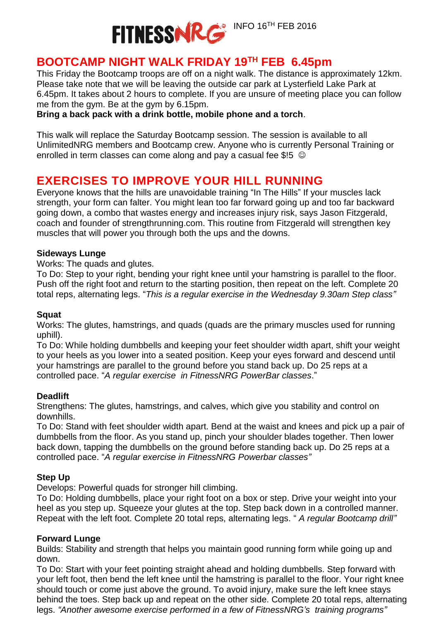

## **BOOTCAMP NIGHT WALK FRIDAY 19TH FEB 6.45pm**

This Friday the Bootcamp troops are off on a night walk. The distance is approximately 12km. Please take note that we will be leaving the outside car park at Lysterfield Lake Park at 6.45pm. It takes about 2 hours to complete. If you are unsure of meeting place you can follow me from the gym. Be at the gym by 6.15pm.

#### **Bring a back pack with a drink bottle, mobile phone and a torch**.

This walk will replace the Saturday Bootcamp session. The session is available to all UnlimitedNRG members and Bootcamp crew. Anyone who is currently Personal Training or enrolled in term classes can come along and pay a casual fee \$!5  $\heartsuit$ 

## **EXERCISES TO IMPROVE YOUR HILL RUNNING**

Everyone knows that the hills are unavoidable training "In The Hills" If your muscles lack strength, your form can falter. You might lean too far forward going up and too far backward going down, a combo that wastes energy and increases injury risk, says Jason Fitzgerald, coach and founder of strengthrunning.com. This routine from Fitzgerald will strengthen key muscles that will power you through both the ups and the downs.

#### **Sideways Lunge**

Works: The quads and glutes.

To Do: Step to your right, bending your right knee until your hamstring is parallel to the floor. Push off the right foot and return to the starting position, then repeat on the left. Complete 20 total reps, alternating legs. "*This is a regular exercise in the Wednesday 9.30am Step class"*

#### **Squat**

Works: The glutes, hamstrings, and quads (quads are the primary muscles used for running uphill).

To Do: While holding dumbbells and keeping your feet shoulder width apart, shift your weight to your heels as you lower into a seated position. Keep your eyes forward and descend until your hamstrings are parallel to the ground before you stand back up. Do 25 reps at a controlled pace. "*A regular exercise in FitnessNRG PowerBar classes*."

#### **Deadlift**

Strengthens: The glutes, hamstrings, and calves, which give you stability and control on downhills.

To Do: Stand with feet shoulder width apart. Bend at the waist and knees and pick up a pair of dumbbells from the floor. As you stand up, pinch your shoulder blades together. Then lower back down, tapping the dumbbells on the ground before standing back up. Do 25 reps at a controlled pace. "*A regular exercise in FitnessNRG Powerbar classes"*

#### **Step Up**

Develops: Powerful quads for stronger hill climbing.

To Do: Holding dumbbells, place your right foot on a box or step. Drive your weight into your heel as you step up. Squeeze your glutes at the top. Step back down in a controlled manner. Repeat with the left foot. Complete 20 total reps, alternating legs. " *A regular Bootcamp drill"*

#### **Forward Lunge**

Builds: Stability and strength that helps you maintain good running form while going up and down.

To Do: Start with your feet pointing straight ahead and holding dumbbells. Step forward with your left foot, then bend the left knee until the hamstring is parallel to the floor. Your right knee should touch or come just above the ground. To avoid injury, make sure the left knee stays behind the toes. Step back up and repeat on the other side. Complete 20 total reps, alternating legs. *"Another awesome exercise performed in a few of FitnessNRG's training programs"*